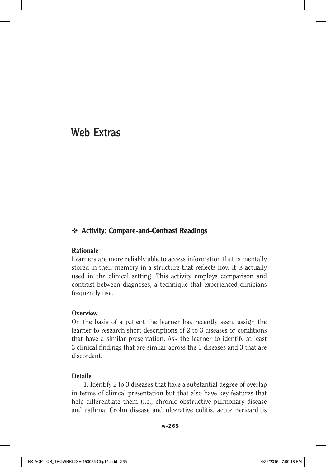# Web Extras

# ❖ Activity: Compare-and-Contrast Readings

### Rationale

Learners are more reliably able to access information that is mentally stored in their memory in a structure that reflects how it is actually used in the clinical setting. This activity employs comparison and contrast between diagnoses, a technique that experienced clinicians frequently use.

#### **Overview**

On the basis of a patient the learner has recently seen, assign the learner to research short descriptions of 2 to 3 diseases or conditions that have a similar presentation. Ask the learner to identify at least 3 clinical findings that are similar across the 3 diseases and 3 that are discordant.

#### Details

1. Identify 2 to 3 diseases that have a substantial degree of overlap in terms of clinical presentation but that also have key features that help differentiate them (i.e., chronic obstructive pulmonary disease and asthma, Crohn disease and ulcerative colitis, acute pericarditis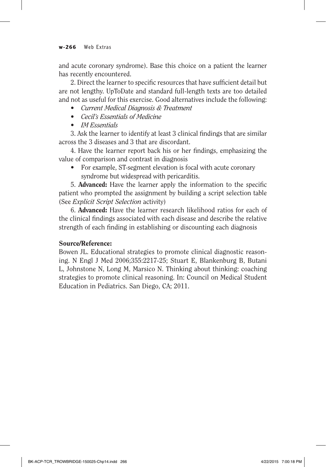#### **w-266** Web Extras

and acute coronary syndrome). Base this choice on a patient the learner has recently encountered.

2. Direct the learner to specific resources that have sufficient detail but are not lengthy. UpToDate and standard full-length texts are too detailed and not as useful for this exercise. Good alternatives include the following:

- • *Current Medical Diagnosis & Treatment*
- • *Cecil's Essentials of Medicine*
- • *IM Essentials*

3. Ask the learner to identify at least 3 clinical findings that are similar across the 3 diseases and 3 that are discordant.

4. Have the learner report back his or her findings, emphasizing the value of comparison and contrast in diagnosis

For example, ST-segment elevation is focal with acute coronary syndrome but widespread with pericarditis.

5. Advanced: Have the learner apply the information to the specific patient who prompted the assignment by building a script selection table (See *Explicit Script Selection* activity)

6. Advanced: Have the learner research likelihood ratios for each of the clinical findings associated with each disease and describe the relative strength of each finding in establishing or discounting each diagnosis

### Source/Reference:

Bowen JL. Educational strategies to promote clinical diagnostic reasoning. N Engl J Med 2006;355:2217-25; Stuart E, Blankenburg B, Butani L, Johnstone N, Long M, Marsico N. Thinking about thinking: coaching strategies to promote clinical reasoning. In: Council on Medical Student Education in Pediatrics. San Diego, CA; 2011.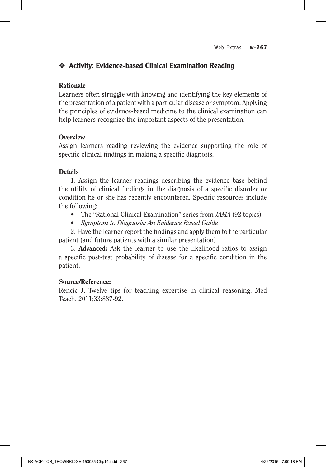# ❖ Activity: Evidence-based Clinical Examination Reading

### Rationale

Learners often struggle with knowing and identifying the key elements of the presentation of a patient with a particular disease or symptom. Applying the principles of evidence-based medicine to the clinical examination can help learners recognize the important aspects of the presentation.

### **Overview**

Assign learners reading reviewing the evidence supporting the role of specific clinical findings in making a specific diagnosis.

### **Details**

1. Assign the learner readings describing the evidence base behind the utility of clinical findings in the diagnosis of a specific disorder or condition he or she has recently encountered. Specific resources include the following:

- The "Rational Clinical Examination" series from *JAMA* (92 topics)
- • *Symptom to Diagnosis: An Evidence Based Guide*

2. Have the learner report the findings and apply them to the particular patient (and future patients with a similar presentation)

3. Advanced: Ask the learner to use the likelihood ratios to assign a specific post-test probability of disease for a specific condition in the patient.

### Source/Reference:

Rencic J. Twelve tips for teaching expertise in clinical reasoning. Med Teach. 2011;33:887-92.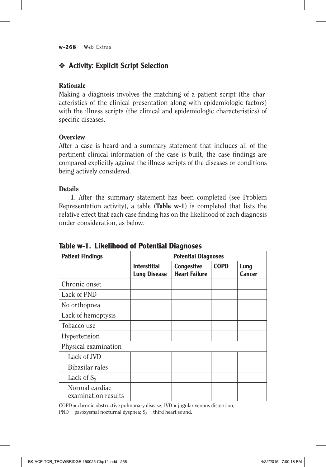#### **w-268** Web Extras

# ❖ Activity: Explicit Script Selection

### Rationale

Making a diagnosis involves the matching of a patient script (the characteristics of the clinical presentation along with epidemiologic factors) with the illness scripts (the clinical and epidemiologic characteristics) of specific diseases.

### **Overview**

After a case is heard and a summary statement that includes all of the pertinent clinical information of the case is built, the case findings are compared explicitly against the illness scripts of the diseases or conditions being actively considered.

### **Details**

1. After the summary statement has been completed (see Problem Representation activity), a table (Table  $w-1$ ) is completed that lists the relative effect that each case finding has on the likelihood of each diagnosis under consideration, as below.

| <b>Patient Findings</b>               |                                            | <b>Potential Diagnoses</b>                |             |                |
|---------------------------------------|--------------------------------------------|-------------------------------------------|-------------|----------------|
|                                       | <b>Interstitial</b><br><b>Lung Disease</b> | <b>Congestive</b><br><b>Heart Failure</b> | <b>COPD</b> | Lung<br>Cancer |
| Chronic onset                         |                                            |                                           |             |                |
| Lack of PND                           |                                            |                                           |             |                |
| No orthopnea                          |                                            |                                           |             |                |
| Lack of hemoptysis                    |                                            |                                           |             |                |
| Tobacco use                           |                                            |                                           |             |                |
| Hypertension                          |                                            |                                           |             |                |
| Physical examination                  |                                            |                                           |             |                |
| Lack of JVD                           |                                            |                                           |             |                |
| Bibasilar rales                       |                                            |                                           |             |                |
| Lack of $S_3$                         |                                            |                                           |             |                |
| Normal cardiac<br>examination results |                                            |                                           |             |                |

**Table w-1. Likelihood of Potential Diagnoses**

 $COPD =$  chronic obstructive pulmonary disease;  $JVD =$  jugular venous distention; PND = paroxysmal nocturnal dyspnea;  $S_3$  = third heart sound.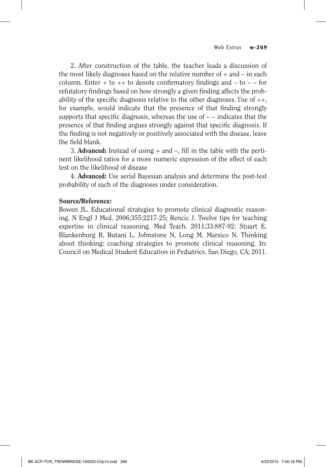2. After construction of the table, the teacher leads a discussion of the most likely diagnoses based on the relative number of  $+$  and  $-$  in each column. Enter  $+$  to  $++$  to denote confirmatory findings and  $-$  to  $-$  – for refutatory findings based on how strongly a given finding affects the probability of the specific diagnosis relative to the other diagnoses. Use of  $++$ , for example, would indicate that the presence of that finding strongly supports that specific diagnosis, whereas the use of  $-$  – indicates that the presence of that finding argues strongly against that specific diagnosis. If the finding is not negatively or positively associated with the disease, leave the field blank.

3. **Advanced:** Instead of using  $+$  and  $-$ , fill in the table with the pertinent likelihood ratios for a more numeric expression of the effect of each test on the likelihood of disease

4. Advanced: Use serial Bayesian analysis and determine the post-test probability of each of the diagnoses under consideration.

#### Source/Reference:

Bowen JL. Educational strategies to promote clinical diagnostic reasoning. N Engl J Med. 2006;355:2217-25; Rencic J. Twelve tips for teaching expertise in clinical reasoning. Med Teach. 2011;33:887-92; Stuart E, Blankenburg B, Butani L, Johnstone N, Long M, Marsico N. Thinking about thinking: coaching strategies to promote clinical reasoning. In: Council on Medical Student Education in Pediatrics. San Diego, CA; 2011.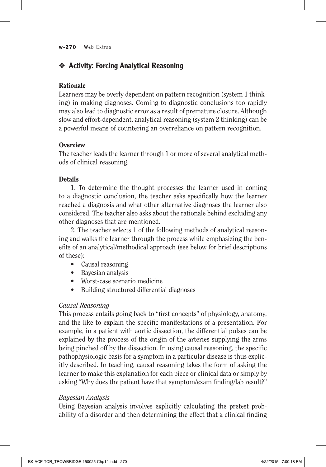#### **w-270** Web Extras

# ❖ Activity: Forcing Analytical Reasoning

### Rationale

Learners may be overly dependent on pattern recognition (system 1 thinking) in making diagnoses. Coming to diagnostic conclusions too rapidly may also lead to diagnostic error as a result of premature closure. Although slow and effort-dependent, analytical reasoning (system 2 thinking) can be a powerful means of countering an overreliance on pattern recognition.

### **Overview**

The teacher leads the learner through 1 or more of several analytical methods of clinical reasoning.

### **Details**

1. To determine the thought processes the learner used in coming to a diagnostic conclusion, the teacher asks specifically how the learner reached a diagnosis and what other alternative diagnoses the learner also considered. The teacher also asks about the rationale behind excluding any other diagnoses that are mentioned.

2. The teacher selects 1 of the following methods of analytical reasoning and walks the learner through the process while emphasizing the benefits of an analytical/methodical approach (see below for brief descriptions of these):

- Causal reasoning
- Bayesian analysis
- Worst-case scenario medicine
- Building structured differential diagnoses

### *Causal Reasoning*

This process entails going back to "first concepts" of physiology, anatomy, and the like to explain the specific manifestations of a presentation. For example, in a patient with aortic dissection, the differential pulses can be explained by the process of the origin of the arteries supplying the arms being pinched off by the dissection. In using causal reasoning, the specific pathophysiologic basis for a symptom in a particular disease is thus explicitly described. In teaching, causal reasoning takes the form of asking the learner to make this explanation for each piece or clinical data or simply by asking "Why does the patient have that symptom/exam finding/lab result?"

### *Bayesian Analysis*

Using Bayesian analysis involves explicitly calculating the pretest probability of a disorder and then determining the effect that a clinical finding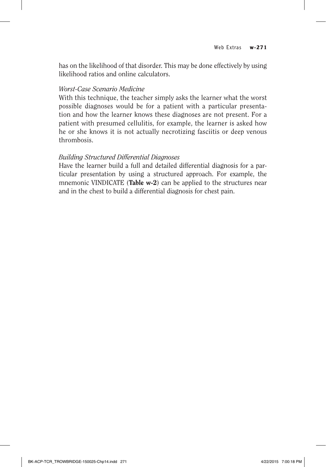has on the likelihood of that disorder. This may be done effectively by using likelihood ratios and online calculators.

### *Worst-Case Scenario Medicine*

With this technique, the teacher simply asks the learner what the worst possible diagnoses would be for a patient with a particular presentation and how the learner knows these diagnoses are not present. For a patient with presumed cellulitis, for example, the learner is asked how he or she knows it is not actually necrotizing fasciitis or deep venous thrombosis.

### *Building Structured Differential Diagnoses*

Have the learner build a full and detailed differential diagnosis for a particular presentation by using a structured approach. For example, the mnemonic VINDICATE (Table w-2) can be applied to the structures near and in the chest to build a differential diagnosis for chest pain.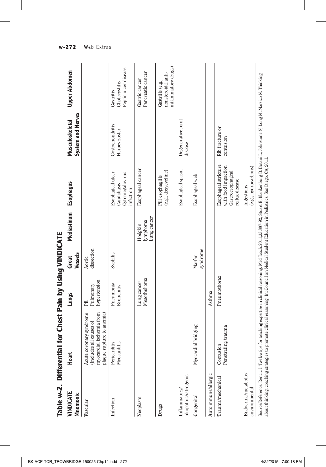| Table w-2. Differen                    | tial for Chest Pain by Using VINDICATE                                                                                                                                                                                                                                                                                                         |                                 |                      |                                   |                                                                                   |                                             |                                                               |
|----------------------------------------|------------------------------------------------------------------------------------------------------------------------------------------------------------------------------------------------------------------------------------------------------------------------------------------------------------------------------------------------|---------------------------------|----------------------|-----------------------------------|-----------------------------------------------------------------------------------|---------------------------------------------|---------------------------------------------------------------|
| VINDICATE<br>Mnemonic                  | Heart                                                                                                                                                                                                                                                                                                                                          | Lungs                           | Vessels<br>Great     | Mediastinum                       | Esophagus                                                                         | <b>System and Nerves</b><br>Musculoskeletal | Upper Abdomen                                                 |
| Vascular                               | myocardial ischemia from<br>Acute coronary syndrome<br>plaque rupture to anemia)<br>(includes all causes of                                                                                                                                                                                                                                    | hypertension<br>Pulmonary<br>EE | dissection<br>Aortic |                                   |                                                                                   |                                             |                                                               |
| Infection                              | Pericarditis<br>Myocarditis                                                                                                                                                                                                                                                                                                                    | Pneumonia<br><b>Bronchitis</b>  | Syphilis             |                                   | Esophageal ulcer<br>Cytomegalovirus<br>Candidiasis<br>infection                   | Costochondritis<br>Herpes zoster            | Peptic ulcer disease<br>Cholecystitis<br>Gastritis            |
| Neoplasm                               |                                                                                                                                                                                                                                                                                                                                                | Mesothelioma<br>Lung cancer     |                      | ung cancer<br>lymphoma<br>Hodgkin | Esophageal cancer                                                                 |                                             | Pancreatic cancer<br>Gastric cancer                           |
| Drugs                                  |                                                                                                                                                                                                                                                                                                                                                |                                 |                      |                                   | (e.g., doxycycline)<br>Pill esophagitis                                           |                                             | inflammatory drugs)<br>nonsteroidal anti-<br>Gastritis (e.g., |
| idiopathic/iatrogenic<br>Inflammatory/ |                                                                                                                                                                                                                                                                                                                                                |                                 |                      |                                   | Esophageal spasm                                                                  | Degenerative joint<br>disease               |                                                               |
| Congenital                             | Myocardial bridging                                                                                                                                                                                                                                                                                                                            |                                 | syndrome<br>Marfan   |                                   | Esophageal web                                                                    |                                             |                                                               |
| Autoimmune/allergic                    |                                                                                                                                                                                                                                                                                                                                                | Asthma                          |                      |                                   |                                                                                   |                                             |                                                               |
| Trauma/mechanical                      | Penetrating trauma<br>Contusion                                                                                                                                                                                                                                                                                                                | Pneumothorax                    |                      |                                   | Esophageal stricture<br>with food impaction<br>Gastroesophageal<br>reflux disease | Rib fracture or<br>contusion                |                                                               |
| Endocrine/metabolic/<br>environmental  |                                                                                                                                                                                                                                                                                                                                                |                                 |                      |                                   | (e.g., hydrocarbons)<br>Ingestions                                                |                                             |                                                               |
|                                        | Source/Reference: Rencic J. Twelve tips for teaching expertise in clinical reasoning. Med Teach.2011;33:887-92; Stuart E, Blankenburg B, Butani L, Johnstone N, Long M, Marsico N. Thinking<br>about thinking: coaching strategies to promote clinical reasoning. In: Council on Medical Student Education in Pediatrics. San Diego, CA; 2011. |                                 |                      |                                   |                                                                                   |                                             |                                                               |

**VINDICATE** . Ė Î. ٠i Ė × đ Ń × ÷ n:ee

BK-ACP-TCR\_TROWBRIDGE-150025-Chp14.indd 272 4/22/2015 7:00:18 PM

**w-272** Web Extras

 $\overline{\phantom{a}}$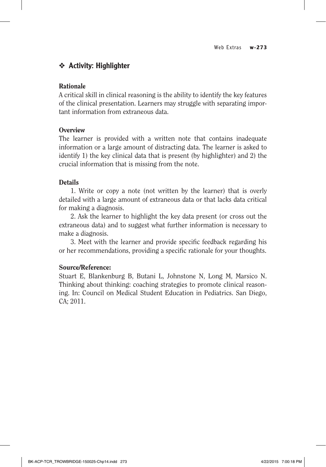# ❖ Activity: Highlighter

### Rationale

A critical skill in clinical reasoning is the ability to identify the key features of the clinical presentation. Learners may struggle with separating important information from extraneous data.

### **Overview**

The learner is provided with a written note that contains inadequate information or a large amount of distracting data. The learner is asked to identify 1) the key clinical data that is present (by highlighter) and 2) the crucial information that is missing from the note.

### **Details**

1. Write or copy a note (not written by the learner) that is overly detailed with a large amount of extraneous data or that lacks data critical for making a diagnosis.

2. Ask the learner to highlight the key data present (or cross out the extraneous data) and to suggest what further information is necessary to make a diagnosis.

3. Meet with the learner and provide specific feedback regarding his or her recommendations, providing a specific rationale for your thoughts.

### Source/Reference:

Stuart E, Blankenburg B, Butani L, Johnstone N, Long M, Marsico N. Thinking about thinking: coaching strategies to promote clinical reasoning. In: Council on Medical Student Education in Pediatrics. San Diego, CA; 2011.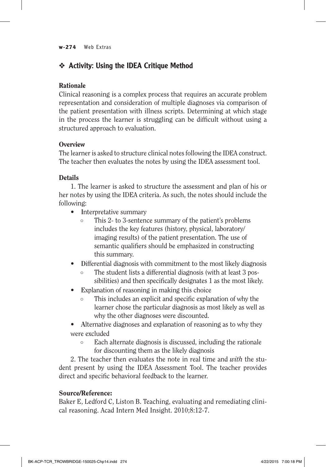#### **w-274** Web Extras

# ❖ Activity: Using the IDEA Critique Method

# Rationale

Clinical reasoning is a complex process that requires an accurate problem representation and consideration of multiple diagnoses via comparison of the patient presentation with illness scripts. Determining at which stage in the process the learner is struggling can be difficult without using a structured approach to evaluation.

# **Overview**

The learner is asked to structure clinical notes following the IDEA construct. The teacher then evaluates the notes by using the IDEA assessment tool.

# **Details**

1. The learner is asked to structure the assessment and plan of his or her notes by using the IDEA criteria. As such, the notes should include the following:

- **Interpretative summary** 
	- This 2- to 3-sentence summary of the patient's problems includes the key features (history, physical, laboratory/ imaging results) of the patient presentation. The use of semantic qualifiers should be emphasized in constructing this summary.
- Differential diagnosis with commitment to the most likely diagnosis
	- The student lists a differential diagnosis (with at least 3 possibilities) and then specifically designates 1 as the most likely.
- Explanation of reasoning in making this choice
	- This includes an explicit and specific explanation of why the learner chose the particular diagnosis as most likely as well as why the other diagnoses were discounted.
- Alternative diagnoses and explanation of reasoning as to why they were excluded
	- Each alternate diagnosis is discussed, including the rationale for discounting them as the likely diagnosis

2. The teacher then evaluates the note in real time and *with* the student present by using the IDEA Assessment Tool. The teacher provides direct and specific behavioral feedback to the learner.

# Source/Reference:

Baker E, Ledford C, Liston B. Teaching, evaluating and remediating clinical reasoning. Acad Intern Med Insight. 2010;8:12-7.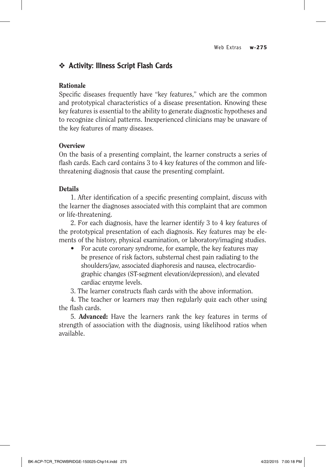# ❖ Activity: Illness Script Flash Cards

### Rationale

Specific diseases frequently have "key features," which are the common and prototypical characteristics of a disease presentation. Knowing these key features is essential to the ability to generate diagnostic hypotheses and to recognize clinical patterns. Inexperienced clinicians may be unaware of the key features of many diseases.

### **Overview**

On the basis of a presenting complaint, the learner constructs a series of flash cards. Each card contains 3 to 4 key features of the common and lifethreatening diagnosis that cause the presenting complaint.

### **Details**

1. After identification of a specific presenting complaint, discuss with the learner the diagnoses associated with this complaint that are common or life-threatening.

2. For each diagnosis, have the learner identify 3 to 4 key features of the prototypical presentation of each diagnosis. Key features may be elements of the history, physical examination, or laboratory/imaging studies.

For acute coronary syndrome, for example, the key features may be presence of risk factors, substernal chest pain radiating to the shoulders/jaw, associated diaphoresis and nausea, electrocardiographic changes (ST-segment elevation/depression), and elevated cardiac enzyme levels.

3. The learner constructs flash cards with the above information.

4. The teacher or learners may then regularly quiz each other using the flash cards.

5. Advanced: Have the learners rank the key features in terms of strength of association with the diagnosis, using likelihood ratios when available.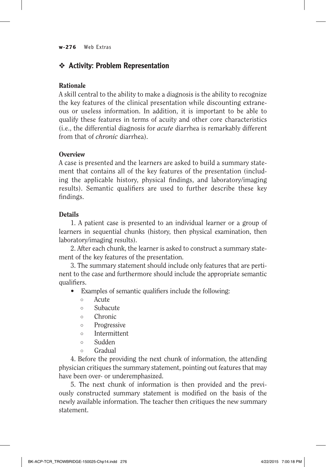#### **w-276** Web Extras

# ❖ Activity: Problem Representation

### Rationale

A skill central to the ability to make a diagnosis is the ability to recognize the key features of the clinical presentation while discounting extraneous or useless information. In addition, it is important to be able to qualify these features in terms of acuity and other core characteristics (i.e., the differential diagnosis for *acute* diarrhea is remarkably different from that of *chronic* diarrhea).

### **Overview**

A case is presented and the learners are asked to build a summary statement that contains all of the key features of the presentation (including the applicable history, physical findings, and laboratory/imaging results). Semantic qualifiers are used to further describe these key findings.

### **Details**

1. A patient case is presented to an individual learner or a group of learners in sequential chunks (history, then physical examination, then laboratory/imaging results).

2. After each chunk, the learner is asked to construct a summary statement of the key features of the presentation.

3. The summary statement should include only features that are pertinent to the case and furthermore should include the appropriate semantic qualifiers.

- Examples of semantic qualifiers include the following:
	- Acute
	- Subacute
	- Chronic
	- Progressive
	- Intermittent
	- Sudden
	- Gradual

4. Before the providing the next chunk of information, the attending physician critiques the summary statement, pointing out features that may have been over- or underemphasized.

5. The next chunk of information is then provided and the previously constructed summary statement is modified on the basis of the newly available information. The teacher then critiques the new summary statement.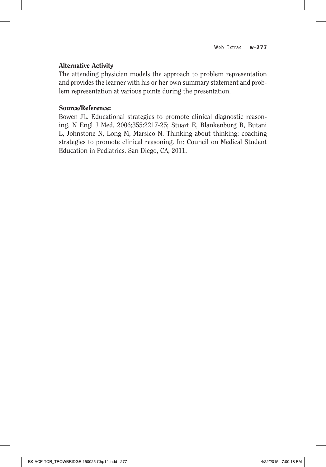### Alternative Activity

The attending physician models the approach to problem representation and provides the learner with his or her own summary statement and problem representation at various points during the presentation.

### Source/Reference:

Bowen JL. Educational strategies to promote clinical diagnostic reasoning. N Engl J Med. 2006;355:2217-25; Stuart E, Blankenburg B, Butani L, Johnstone N, Long M, Marsico N. Thinking about thinking: coaching strategies to promote clinical reasoning. In: Council on Medical Student Education in Pediatrics. San Diego, CA; 2011.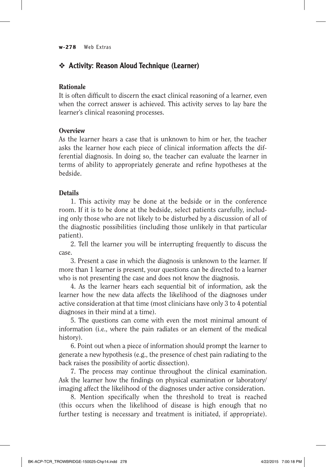# ❖ Activity: Reason Aloud Technique (Learner)

### Rationale

It is often difficult to discern the exact clinical reasoning of a learner, even when the correct answer is achieved. This activity serves to lay bare the learner's clinical reasoning processes.

### **Overview**

As the learner hears a case that is unknown to him or her, the teacher asks the learner how each piece of clinical information affects the differential diagnosis. In doing so, the teacher can evaluate the learner in terms of ability to appropriately generate and refine hypotheses at the bedside.

### Details

1. This activity may be done at the bedside or in the conference room. If it is to be done at the bedside, select patients carefully, including only those who are not likely to be disturbed by a discussion of all of the diagnostic possibilities (including those unlikely in that particular patient).

2. Tell the learner you will be interrupting frequently to discuss the case.

3. Present a case in which the diagnosis is unknown to the learner. If more than 1 learner is present, your questions can be directed to a learner who is not presenting the case and does not know the diagnosis.

4. As the learner hears each sequential bit of information, ask the learner how the new data affects the likelihood of the diagnoses under active consideration at that time (most clinicians have only 3 to 4 potential diagnoses in their mind at a time).

5. The questions can come with even the most minimal amount of information (i.e., where the pain radiates or an element of the medical history).

6. Point out when a piece of information should prompt the learner to generate a new hypothesis (e.g., the presence of chest pain radiating to the back raises the possibility of aortic dissection).

7. The process may continue throughout the clinical examination. Ask the learner how the findings on physical examination or laboratory/ imaging affect the likelihood of the diagnoses under active consideration.

8. Mention specifically when the threshold to treat is reached (this occurs when the likelihood of disease is high enough that no further testing is necessary and treatment is initiated, if appropriate).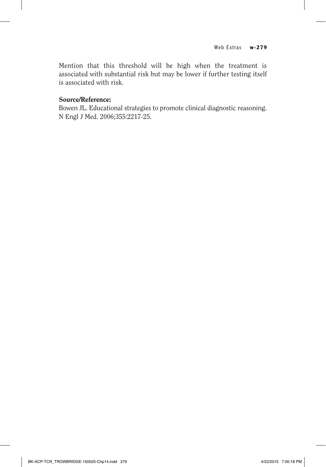Mention that this threshold will be high when the treatment is associated with substantial risk but may be lower if further testing itself is associated with risk.

### Source/Reference:

Bowen JL. Educational strategies to promote clinical diagnostic reasoning. N Engl J Med. 2006;355:2217-25.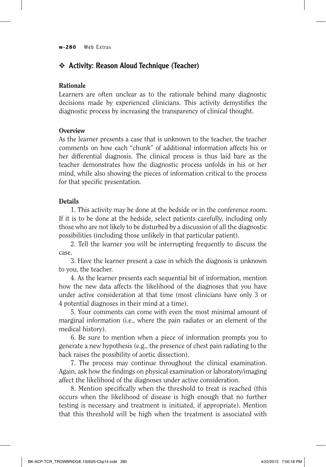#### **w-280** Web Extras

# ❖ Activity: Reason Aloud Technique (Teacher)

### Rationale

Learners are often unclear as to the rationale behind many diagnostic decisions made by experienced clinicians. This activity demystifies the diagnostic process by increasing the transparency of clinical thought.

### **Overview**

As the learner presents a case that is unknown to the teacher, the teacher comments on how each "chunk" of additional information affects his or her differential diagnosis. The clinical process is thus laid bare as the teacher demonstrates how the diagnostic process unfolds in his or her mind, while also showing the pieces of information critical to the process for that specific presentation.

### **Details**

1. This activity may be done at the bedside or in the conference room. If it is to be done at the bedside, select patients carefully, including only those who are not likely to be disturbed by a discussion of all the diagnostic possibilities (including those unlikely in that particular patient).

2. Tell the learner you will be interrupting frequently to discuss the case.

3. Have the learner present a case in which the diagnosis is unknown to you, the teacher.

4. As the learner presents each sequential bit of information, mention how the new data affects the likelihood of the diagnoses that you have under active consideration at that time (most clinicians have only 3 or 4 potential diagnoses in their mind at a time).

5. Your comments can come with even the most minimal amount of marginal information (i.e., where the pain radiates or an element of the medical history).

6. Be sure to mention when a piece of information prompts you to generate a new hypothesis (e.g., the presence of chest pain radiating to the back raises the possibility of aortic dissection).

7. The process may continue throughout the clinical examination. Again, ask how the findings on physical examination or laboratory/imaging affect the likelihood of the diagnoses under active consideration.

8. Mention specifically when the threshold to treat is reached (this occurs when the likelihood of disease is high enough that no further testing is necessary and treatment is initiated, if appropriate). Mention that this threshold will be high when the treatment is associated with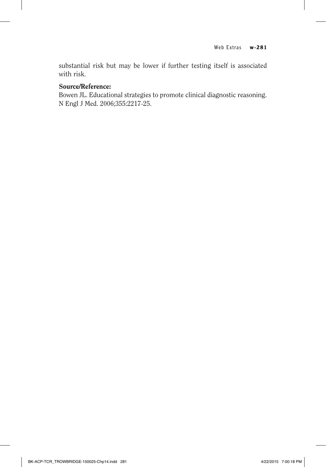substantial risk but may be lower if further testing itself is associated with risk.

### Source/Reference:

Bowen JL. Educational strategies to promote clinical diagnostic reasoning. N Engl J Med. 2006;355:2217-25.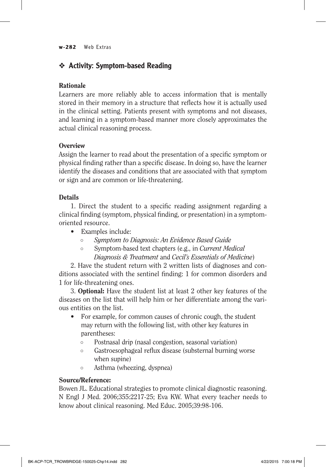#### **w-282** Web Extras

# ❖ Activity: Symptom-based Reading

# Rationale

Learners are more reliably able to access information that is mentally stored in their memory in a structure that reflects how it is actually used in the clinical setting. Patients present with symptoms and not diseases, and learning in a symptom-based manner more closely approximates the actual clinical reasoning process.

### **Overview**

Assign the learner to read about the presentation of a specific symptom or physical finding rather than a specific disease. In doing so, have the learner identify the diseases and conditions that are associated with that symptom or sign and are common or life-threatening.

# **Details**

1. Direct the student to a specific reading assignment regarding a clinical finding (symptom, physical finding, or presentation) in a symptomoriented resource.

- Examples include:
	- *Symptom to Diagnosis: An Evidence Based Guide*
	- Symptom-based text chapters (e.g., in *Current Medical Diagnosis & Treatment* and *Cecil's Essentials of Medicine*)

2. Have the student return with 2 written lists of diagnoses and conditions associated with the sentinel finding: 1 for common disorders and 1 for life-threatening ones.

3. Optional: Have the student list at least 2 other key features of the diseases on the list that will help him or her differentiate among the various entities on the list.

- For example, for common causes of chronic cough, the student may return with the following list, with other key features in parentheses:
	- Postnasal drip (nasal congestion, seasonal variation)
	- Gastroesophageal reflux disease (substernal burning worse when supine)
	- Asthma (wheezing, dyspnea)

### Source/Reference:

Bowen JL. Educational strategies to promote clinical diagnostic reasoning. N Engl J Med. 2006;355:2217-25; Eva KW. What every teacher needs to know about clinical reasoning. Med Educ. 2005;39:98-106.